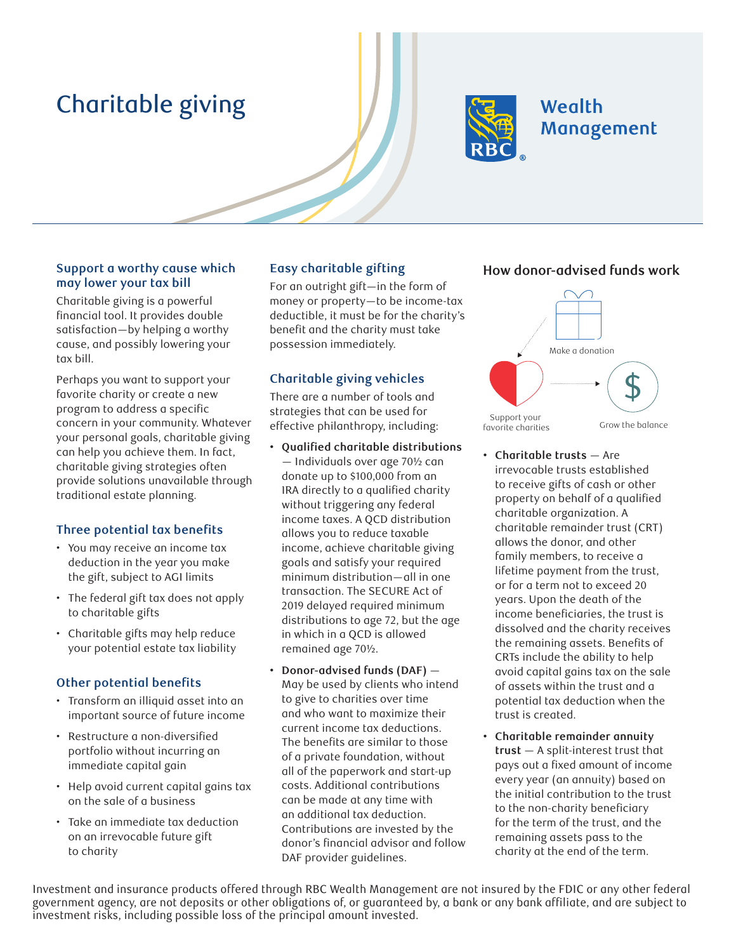# Charitable giving



#### **Support a worthy cause which may lower your tax bill**

Charitable giving is a powerful financial tool. It provides double satisfaction—by helping a worthy cause, and possibly lowering your tax bill.

Perhaps you want to support your favorite charity or create a new program to address a specific concern in your community. Whatever your personal goals, charitable giving can help you achieve them. In fact, charitable giving strategies often provide solutions unavailable through traditional estate planning.

#### **Three potential tax benefits**

- You may receive an income tax deduction in the year you make the gift, subject to AGI limits
- The federal gift tax does not apply to charitable gifts
- Charitable gifts may help reduce your potential estate tax liability

#### **Other potential benefits**

- Transform an illiquid asset into an important source of future income
- Restructure a non-diversified portfolio without incurring an immediate capital gain
- Help avoid current capital gains tax on the sale of a business
- Take an immediate tax deduction on an irrevocable future gift to charity

## **Easy charitable gifting**

For an outright gift—in the form of money or property—to be income-tax deductible, it must be for the charity's benefit and the charity must take possession immediately.

#### **Charitable giving vehicles**

There are a number of tools and strategies that can be used for effective philanthropy, including:

- **Qualifi ed charitable distributions** — Individuals over age 70½ can donate up to \$100,000 from an IRA directly to a qualified charity without triggering any federal income taxes. A QCD distribution allows you to reduce taxable income, achieve charitable giving goals and satisfy your required minimum distribution—all in one transaction. The SECURE Act of 2019 delayed required minimum distributions to age 72, but the age in which in a QCD is allowed remained age 70½.
- **Donor-advised funds (DAF)** May be used by clients who intend to give to charities over time and who want to maximize their current income tax deductions. The benefits are similar to those of a private foundation, without all of the paperwork and start-up costs. Additional contributions can be made at any time with an additional tax deduction. Contributions are invested by the donor's financial advisor and follow DAF provider guidelines.

## **How donor-advised funds work**



**• Charitable trusts** — Are irrevocable trusts established to receive gifts of cash or other property on behalf of a qualified charitable organization. A charitable remainder trust (CRT) allows the donor, and other family members, to receive a lifetime payment from the trust, or for a term not to exceed 20 years. Upon the death of the income beneficiaries, the trust is dissolved and the charity receives the remaining assets. Benefits of CRTs include the ability to help avoid capital gains tax on the sale of assets within the trust and a potential tax deduction when the trust is created.

**• Charitable remainder annuity trust** — A split-interest trust that pays out a fixed amount of income every year (an annuity) based on the initial contribution to the trust to the non-charity beneficiary for the term of the trust, and the remaining assets pass to the charity at the end of the term.

Investment and insurance products offered through RBC Wealth Management are not insured by the FDIC or any other federal government agency, are not deposits or other obligations of, or guaranteed by, a bank or any bank affiliate, and are subject to investment risks, including possible loss of the principal amount invested.